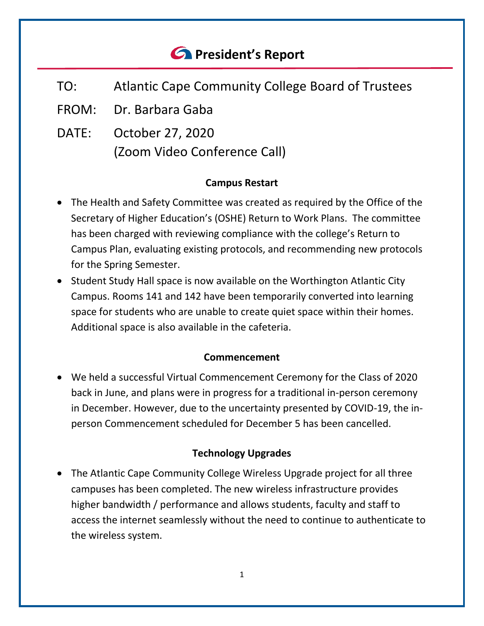# *<u>A</u>* President's Report

- TO: Atlantic Cape Community College Board of Trustees
- FROM: Dr. Barbara Gaba
- DATE: October 27, 2020 (Zoom Video Conference Call)

## **Campus Restart**

- The Health and Safety Committee was created as required by the Office of the Secretary of Higher Education's (OSHE) Return to Work Plans. The committee has been charged with reviewing compliance with the college's Return to Campus Plan, evaluating existing protocols, and recommending new protocols for the Spring Semester.
- Student Study Hall space is now available on the Worthington Atlantic City Campus. Rooms 141 and 142 have been temporarily converted into learning space for students who are unable to create quiet space within their homes. Additional space is also available in the cafeteria.

## **Commencement**

• We held a successful Virtual Commencement Ceremony for the Class of 2020 back in June, and plans were in progress for a traditional in-person ceremony in December. However, due to the uncertainty presented by COVID-19, the inperson Commencement scheduled for December 5 has been cancelled.

# **Technology Upgrades**

• The Atlantic Cape Community College Wireless Upgrade project for all three campuses has been completed. The new wireless infrastructure provides higher bandwidth / performance and allows students, faculty and staff to access the internet seamlessly without the need to continue to authenticate to the wireless system.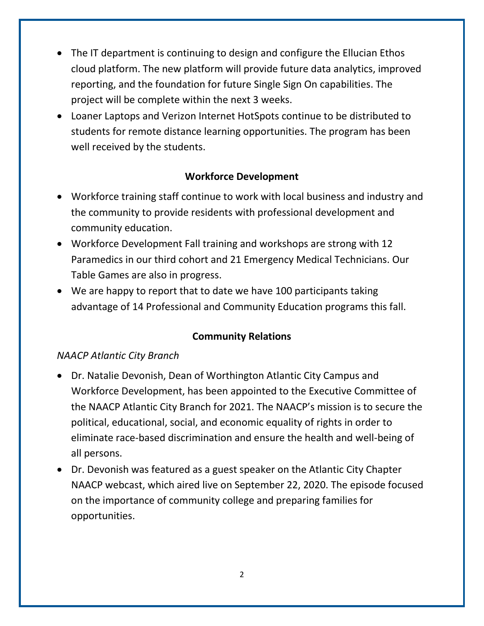- The IT department is continuing to design and configure the Ellucian Ethos cloud platform. The new platform will provide future data analytics, improved reporting, and the foundation for future Single Sign On capabilities. The project will be complete within the next 3 weeks.
- Loaner Laptops and Verizon Internet HotSpots continue to be distributed to students for remote distance learning opportunities. The program has been well received by the students.

## **Workforce Development**

- Workforce training staff continue to work with local business and industry and the community to provide residents with professional development and community education.
- Workforce Development Fall training and workshops are strong with 12 Paramedics in our third cohort and 21 Emergency Medical Technicians. Our Table Games are also in progress.
- We are happy to report that to date we have 100 participants taking advantage of 14 Professional and Community Education programs this fall.

# **Community Relations**

## *NAACP Atlantic City Branch*

- Dr. Natalie Devonish, Dean of Worthington Atlantic City Campus and Workforce Development, has been appointed to the Executive Committee of the NAACP Atlantic City Branch for 2021. The NAACP's mission is to secure the political, educational, social, and economic equality of rights in order to eliminate race-based discrimination and ensure the health and well-being of all persons.
- Dr. Devonish was featured as a guest speaker on the Atlantic City Chapter NAACP webcast, which aired live on September 22, 2020. The episode focused on the importance of community college and preparing families for opportunities.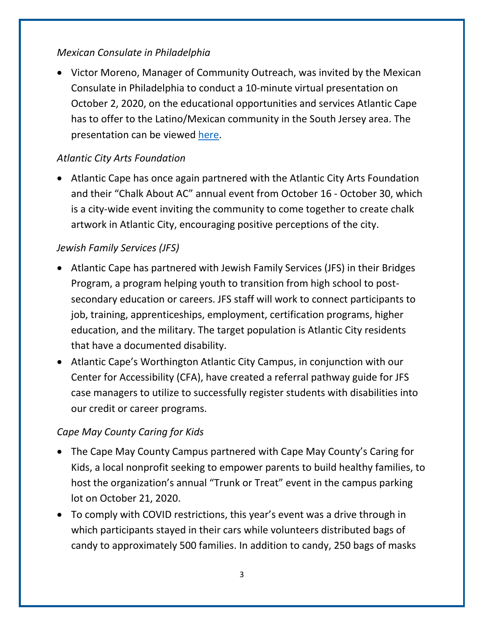## *Mexican Consulate in Philadelphia*

• Victor Moreno, Manager of Community Outreach, was invited by the Mexican Consulate in Philadelphia to conduct a 10-minute virtual presentation on October 2, 2020, on the educational opportunities and services Atlantic Cape has to offer to the Latino/Mexican community in the South Jersey area. The presentation can be viewed [here.](https://www.facebook.com/watch/?v=1135875340141624)

# *Atlantic City Arts Foundation*

• Atlantic Cape has once again partnered with the Atlantic City Arts Foundation and their "Chalk About AC" annual event from October 16 - October 30, which is a city-wide event inviting the community to come together to create chalk artwork in Atlantic City, encouraging positive perceptions of the city.

# *Jewish Family Services (JFS)*

- Atlantic Cape has partnered with Jewish Family Services (JFS) in their Bridges Program, a program helping youth to transition from high school to postsecondary education or careers. JFS staff will work to connect participants to job, training, apprenticeships, employment, certification programs, higher education, and the military. The target population is Atlantic City residents that have a documented disability.
- Atlantic Cape's Worthington Atlantic City Campus, in conjunction with our Center for Accessibility (CFA), have created a referral pathway guide for JFS case managers to utilize to successfully register students with disabilities into our credit or career programs.

# *Cape May County Caring for Kids*

- The Cape May County Campus partnered with Cape May County's Caring for Kids, a local nonprofit seeking to empower parents to build healthy families, to host the organization's annual "Trunk or Treat" event in the campus parking lot on October 21, 2020.
- To comply with COVID restrictions, this year's event was a drive through in which participants stayed in their cars while volunteers distributed bags of candy to approximately 500 families. In addition to candy, 250 bags of masks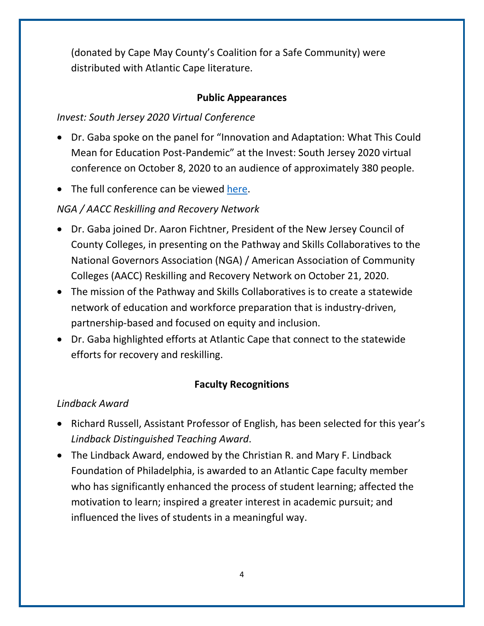(donated by Cape May County's Coalition for a Safe Community) were distributed with Atlantic Cape literature.

#### **Public Appearances**

## *Invest: South Jersey 2020 Virtual Conference*

- Dr. Gaba spoke on the panel for "Innovation and Adaptation: What This Could Mean for Education Post-Pandemic" at the Invest: South Jersey 2020 virtual conference on October 8, 2020 to an audience of approximately 380 people.
- The full conference can be viewed [here.](https://www.youtube.com/watch?v=Muf9YEiBX5Q)

# *NGA / AACC Reskilling and Recovery Network*

- Dr. Gaba joined Dr. Aaron Fichtner, President of the New Jersey Council of County Colleges, in presenting on the Pathway and Skills Collaboratives to the National Governors Association (NGA) / American Association of Community Colleges (AACC) Reskilling and Recovery Network on October 21, 2020.
- The mission of the Pathway and Skills Collaboratives is to create a statewide network of education and workforce preparation that is industry-driven, partnership-based and focused on equity and inclusion.
- Dr. Gaba highlighted efforts at Atlantic Cape that connect to the statewide efforts for recovery and reskilling.

## **Faculty Recognitions**

## *Lindback Award*

- Richard Russell, Assistant Professor of English, has been selected for this year's *Lindback Distinguished Teaching Award*.
- The Lindback Award, endowed by the Christian R. and Mary F. Lindback Foundation of Philadelphia, is awarded to an Atlantic Cape faculty member who has significantly enhanced the process of student learning; affected the motivation to learn; inspired a greater interest in academic pursuit; and influenced the lives of students in a meaningful way.